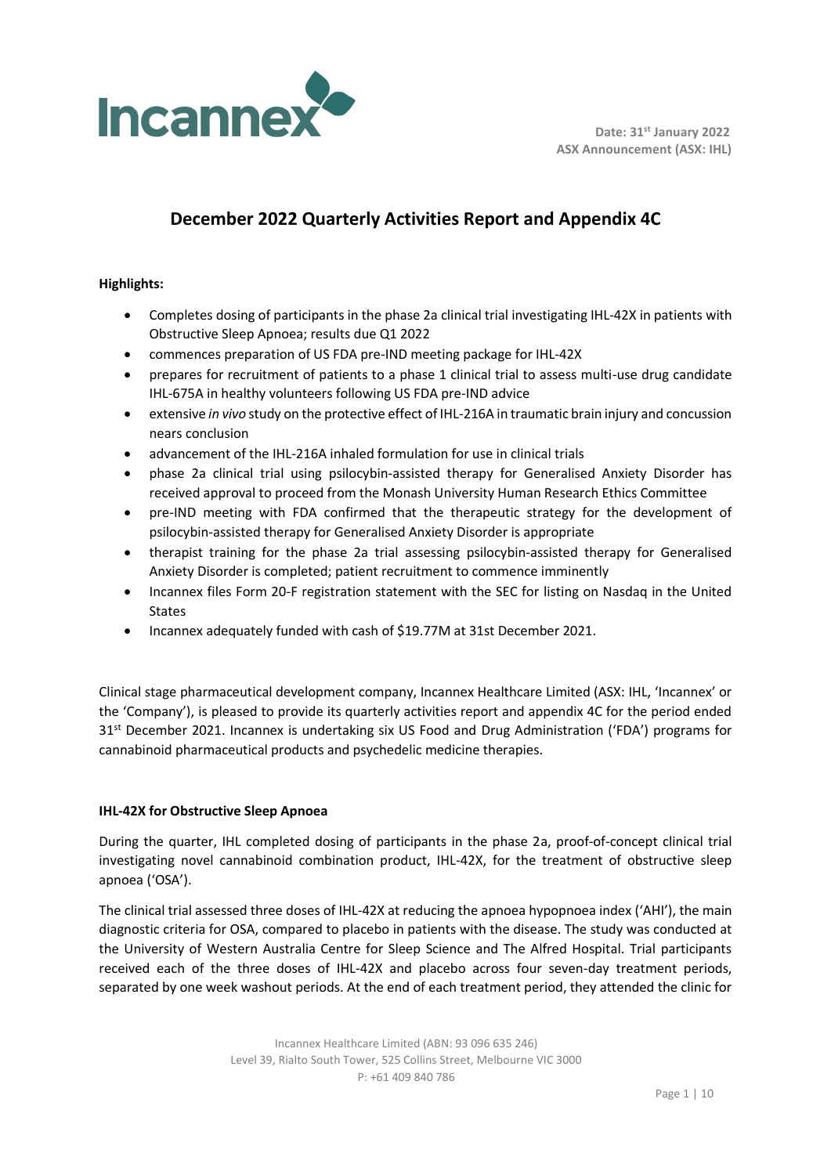

## **December 2022 Quarterly Activities Report and Appendix 4C**

### **Highlights:**

- Completes dosing of participants in the phase 2a clinical trial investigating IHL-42X in patients with Obstructive Sleep Apnoea; results due Q1 2022
- commences preparation of US FDA pre-IND meeting package for IHL-42X
- prepares for recruitment of patients to a phase 1 clinical trial to assess multi-use drug candidate IHL-675A in healthy volunteers following US FDA pre-IND advice
- extensive *in vivo* study on the protective effect of IHL-216A in traumatic brain injury and concussion nears conclusion
- advancement of the IHL-216A inhaled formulation for use in clinical trials
- phase 2a clinical trial using psilocybin-assisted therapy for Generalised Anxiety Disorder has received approval to proceed from the Monash University Human Research Ethics Committee
- pre-IND meeting with FDA confirmed that the therapeutic strategy for the development of psilocybin-assisted therapy for Generalised Anxiety Disorder is appropriate
- therapist training for the phase 2a trial assessing psilocybin-assisted therapy for Generalised Anxiety Disorder is completed; patient recruitment to commence imminently
- Incannex files Form 20-F registration statement with the SEC for listing on Nasdaq in the United States
- Incannex adequately funded with cash of \$19.77M at 31st December 2021.

Clinical stage pharmaceutical development company, Incannex Healthcare Limited (ASX: IHL, 'Incannex' or the 'Company'), is pleased to provide its quarterly activities report and appendix 4C for the period ended 31<sup>st</sup> December 2021. Incannex is undertaking six US Food and Drug Administration ('FDA') programs for cannabinoid pharmaceutical products and psychedelic medicine therapies.

#### **IHL-42X for Obstructive Sleep Apnoea**

During the quarter, IHL completed dosing of participants in the phase 2a, proof-of-concept clinical trial investigating novel cannabinoid combination product, IHL-42X, for the treatment of obstructive sleep apnoea ('OSA').

The clinical trial assessed three doses of IHL-42X at reducing the apnoea hypopnoea index ('AHI'), the main diagnostic criteria for OSA, compared to placebo in patients with the disease. The study was conducted at the University of Western Australia Centre for Sleep Science and The Alfred Hospital. Trial participants received each of the three doses of IHL-42X and placebo across four seven-day treatment periods, separated by one week washout periods. At the end of each treatment period, they attended the clinic for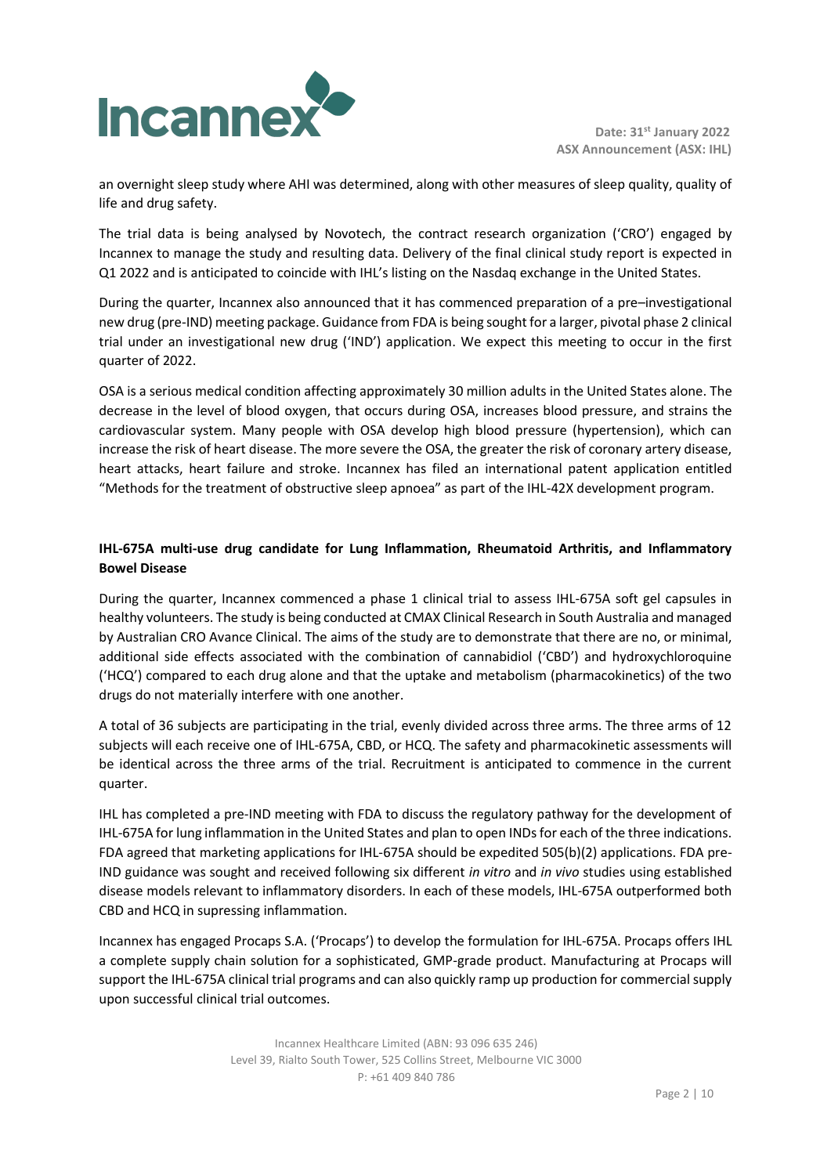

an overnight sleep study where AHI was determined, along with other measures of sleep quality, quality of life and drug safety.

The trial data is being analysed by Novotech, the contract research organization ('CRO') engaged by Incannex to manage the study and resulting data. Delivery of the final clinical study report is expected in Q1 2022 and is anticipated to coincide with IHL's listing on the Nasdaq exchange in the United States.

During the quarter, Incannex also announced that it has commenced preparation of a pre–investigational new drug (pre-IND) meeting package. Guidance from FDA is being sought for a larger, pivotal phase 2 clinical trial under an investigational new drug ('IND') application. We expect this meeting to occur in the first quarter of 2022.

OSA is a serious medical condition affecting approximately 30 million adults in the United States alone. The decrease in the level of blood oxygen, that occurs during OSA, increases blood pressure, and strains the cardiovascular system. Many people with OSA develop high blood pressure (hypertension), which can increase the risk of heart disease. The more severe the OSA, the greater the risk of coronary artery disease, heart attacks, heart failure and stroke. Incannex has filed an international patent application entitled "Methods for the treatment of obstructive sleep apnoea" as part of the IHL-42X development program.

## **IHL-675A multi-use drug candidate for Lung Inflammation, Rheumatoid Arthritis, and Inflammatory Bowel Disease**

During the quarter, Incannex commenced a phase 1 clinical trial to assess IHL-675A soft gel capsules in healthy volunteers. The study is being conducted at CMAX Clinical Research in South Australia and managed by Australian CRO Avance Clinical. The aims of the study are to demonstrate that there are no, or minimal, additional side effects associated with the combination of cannabidiol ('CBD') and hydroxychloroquine ('HCQ') compared to each drug alone and that the uptake and metabolism (pharmacokinetics) of the two drugs do not materially interfere with one another.

A total of 36 subjects are participating in the trial, evenly divided across three arms. The three arms of 12 subjects will each receive one of IHL-675A, CBD, or HCQ. The safety and pharmacokinetic assessments will be identical across the three arms of the trial. Recruitment is anticipated to commence in the current quarter.

IHL has completed a pre-IND meeting with FDA to discuss the regulatory pathway for the development of IHL-675A for lung inflammation in the United States and plan to open INDs for each of the three indications. FDA agreed that marketing applications for IHL-675A should be expedited 505(b)(2) applications. FDA pre-IND guidance was sought and received following six different *in vitro* and *in vivo* studies using established disease models relevant to inflammatory disorders. In each of these models, IHL-675A outperformed both CBD and HCQ in supressing inflammation.

Incannex has engaged Procaps S.A. ('Procaps') to develop the formulation for IHL-675A. Procaps offers IHL a complete supply chain solution for a sophisticated, GMP-grade product. Manufacturing at Procaps will support the IHL-675A clinical trial programs and can also quickly ramp up production for commercial supply upon successful clinical trial outcomes.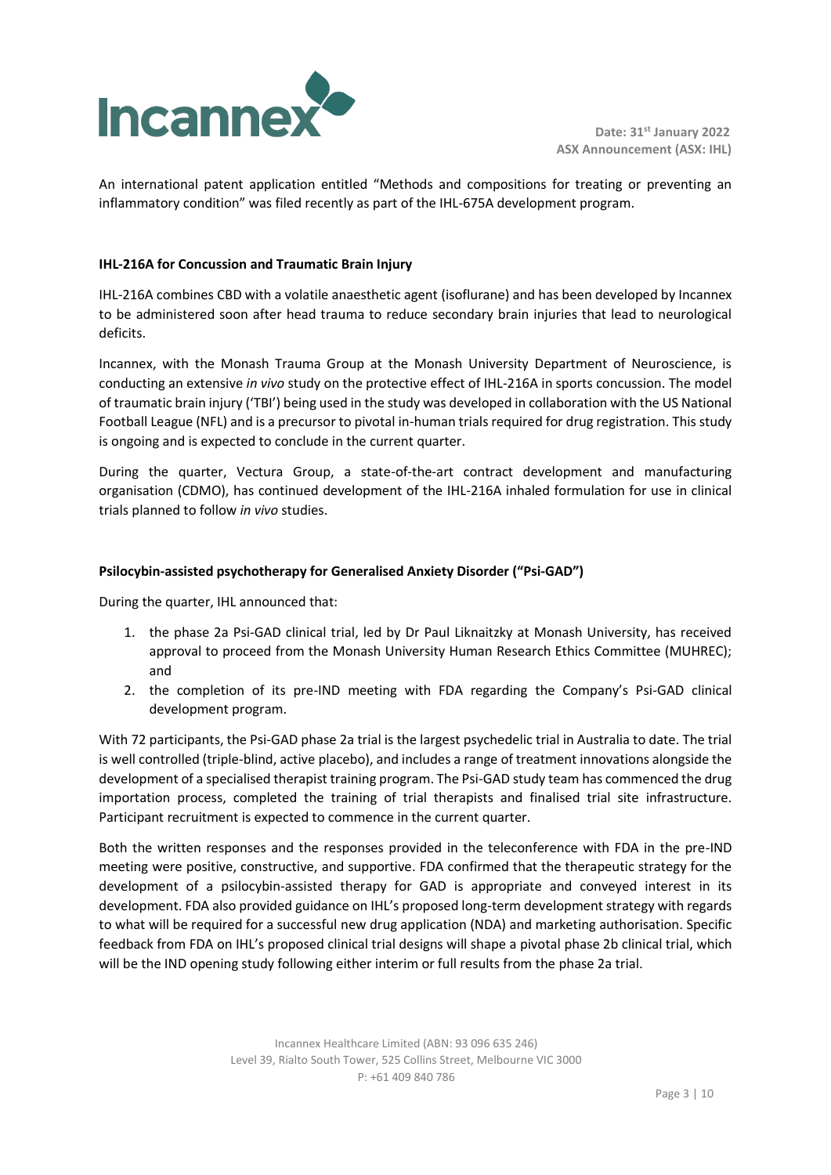

An international patent application entitled "Methods and compositions for treating or preventing an inflammatory condition" was filed recently as part of the IHL-675A development program.

### **IHL-216A for Concussion and Traumatic Brain Injury**

IHL-216A combines CBD with a volatile anaesthetic agent (isoflurane) and has been developed by Incannex to be administered soon after head trauma to reduce secondary brain injuries that lead to neurological deficits.

Incannex, with the Monash Trauma Group at the Monash University Department of Neuroscience, is conducting an extensive *in vivo* study on the protective effect of IHL-216A in sports concussion. The model of traumatic brain injury ('TBI') being used in the study was developed in collaboration with the US National Football League (NFL) and is a precursor to pivotal in-human trials required for drug registration. This study is ongoing and is expected to conclude in the current quarter.

During the quarter, Vectura Group, a state-of-the-art contract development and manufacturing organisation (CDMO), has continued development of the IHL-216A inhaled formulation for use in clinical trials planned to follow *in vivo* studies.

#### **Psilocybin-assisted psychotherapy for Generalised Anxiety Disorder ("Psi-GAD")**

During the quarter, IHL announced that:

- 1. the phase 2a Psi-GAD clinical trial, led by Dr Paul Liknaitzky at Monash University, has received approval to proceed from the Monash University Human Research Ethics Committee (MUHREC); and
- 2. the completion of its pre-IND meeting with FDA regarding the Company's Psi-GAD clinical development program.

With 72 participants, the Psi-GAD phase 2a trial is the largest psychedelic trial in Australia to date. The trial is well controlled (triple-blind, active placebo), and includes a range of treatment innovations alongside the development of a specialised therapist training program. The Psi-GAD study team has commenced the drug importation process, completed the training of trial therapists and finalised trial site infrastructure. Participant recruitment is expected to commence in the current quarter.

Both the written responses and the responses provided in the teleconference with FDA in the pre-IND meeting were positive, constructive, and supportive. FDA confirmed that the therapeutic strategy for the development of a psilocybin-assisted therapy for GAD is appropriate and conveyed interest in its development. FDA also provided guidance on IHL's proposed long-term development strategy with regards to what will be required for a successful new drug application (NDA) and marketing authorisation. Specific feedback from FDA on IHL's proposed clinical trial designs will shape a pivotal phase 2b clinical trial, which will be the IND opening study following either interim or full results from the phase 2a trial.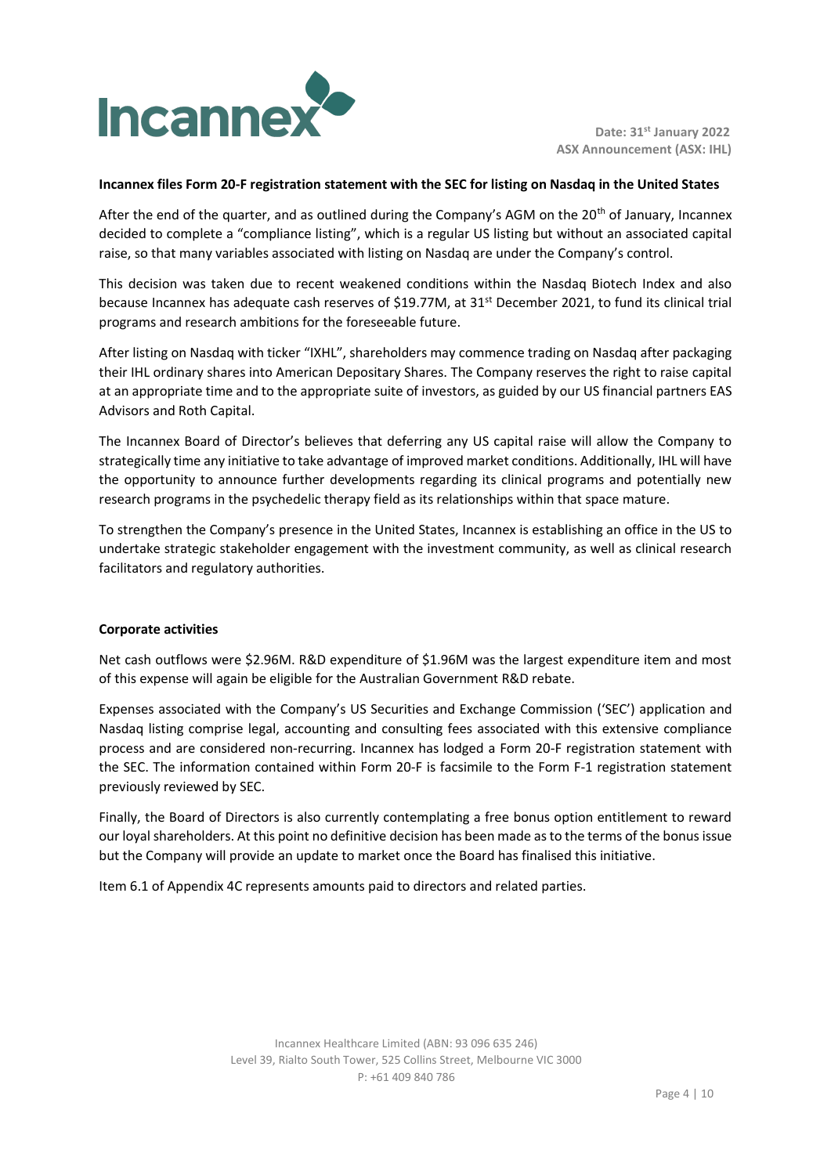

#### **Incannex files Form 20-F registration statement with the SEC for listing on Nasdaq in the United States**

After the end of the quarter, and as outlined during the Company's AGM on the  $20<sup>th</sup>$  of January, Incannex decided to complete a "compliance listing", which is a regular US listing but without an associated capital raise, so that many variables associated with listing on Nasdaq are under the Company's control.

This decision was taken due to recent weakened conditions within the Nasdaq Biotech Index and also because Incannex has adequate cash reserves of \$19.77M, at 31<sup>st</sup> December 2021, to fund its clinical trial programs and research ambitions for the foreseeable future.

After listing on Nasdaq with ticker "IXHL", shareholders may commence trading on Nasdaq after packaging their IHL ordinary shares into American Depositary Shares. The Company reserves the right to raise capital at an appropriate time and to the appropriate suite of investors, as guided by our US financial partners EAS Advisors and Roth Capital.

The Incannex Board of Director's believes that deferring any US capital raise will allow the Company to strategically time any initiative to take advantage of improved market conditions. Additionally, IHL will have the opportunity to announce further developments regarding its clinical programs and potentially new research programs in the psychedelic therapy field as its relationships within that space mature.

To strengthen the Company's presence in the United States, Incannex is establishing an office in the US to undertake strategic stakeholder engagement with the investment community, as well as clinical research facilitators and regulatory authorities.

#### **Corporate activities**

Net cash outflows were \$2.96M. R&D expenditure of \$1.96M was the largest expenditure item and most of this expense will again be eligible for the Australian Government R&D rebate.

Expenses associated with the Company's US Securities and Exchange Commission ('SEC') application and Nasdaq listing comprise legal, accounting and consulting fees associated with this extensive compliance process and are considered non-recurring. Incannex has lodged a Form 20-F registration statement with the SEC. The information contained within Form 20-F is facsimile to the Form F-1 registration statement previously reviewed by SEC.

Finally, the Board of Directors is also currently contemplating a free bonus option entitlement to reward our loyal shareholders. At this point no definitive decision has been made as to the terms of the bonus issue but the Company will provide an update to market once the Board has finalised this initiative.

Item 6.1 of Appendix 4C represents amounts paid to directors and related parties.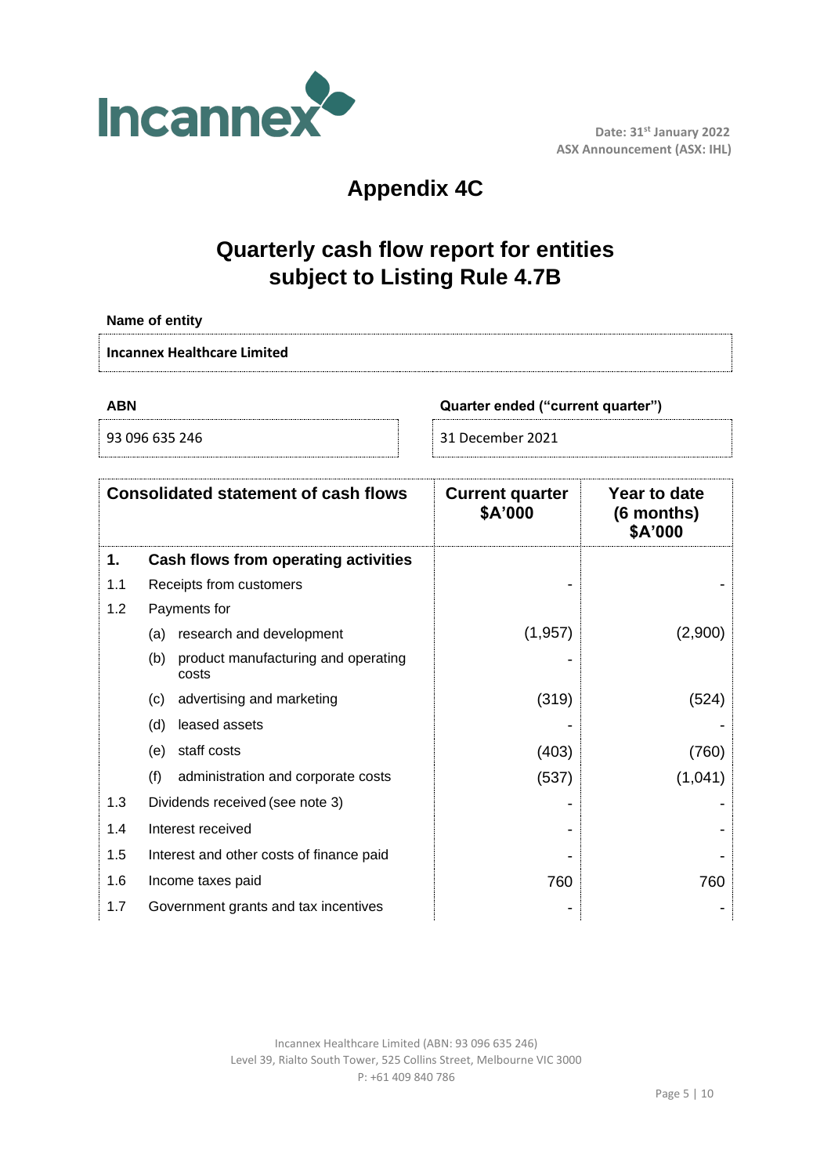

# **Appendix 4C**

## **Quarterly cash flow report for entities subject to Listing Rule 4.7B**

| Name of entity                                  |                                                                                                                           |                  |         |  |  |
|-------------------------------------------------|---------------------------------------------------------------------------------------------------------------------------|------------------|---------|--|--|
|                                                 | <b>Incannex Healthcare Limited</b>                                                                                        |                  |         |  |  |
| <b>ABN</b><br>Quarter ended ("current quarter") |                                                                                                                           |                  |         |  |  |
|                                                 | 93 096 635 246                                                                                                            | 31 December 2021 |         |  |  |
|                                                 | <b>Consolidated statement of cash flows</b><br><b>Current quarter</b><br>Year to date<br>\$A'000<br>(6 months)<br>\$A'000 |                  |         |  |  |
| 1.                                              | Cash flows from operating activities                                                                                      |                  |         |  |  |
| 1.1                                             | Receipts from customers                                                                                                   |                  |         |  |  |
| 1.2                                             | Payments for                                                                                                              |                  |         |  |  |
|                                                 | (a) research and development                                                                                              | (1, 957)         | (2,900) |  |  |
|                                                 | (b) product manufacturing and operating<br>costs                                                                          |                  |         |  |  |
|                                                 | advertising and marketing<br>(c)                                                                                          | (319)            | (524)   |  |  |
|                                                 | leased assets<br>(d)                                                                                                      |                  |         |  |  |
|                                                 | (e) staff costs                                                                                                           | (403)            | (760)   |  |  |
|                                                 | (f)<br>administration and corporate costs                                                                                 | (537)            | (1,041) |  |  |
| 1.3                                             | Dividends received (see note 3)                                                                                           |                  |         |  |  |
| 1.4                                             | Interest received                                                                                                         |                  |         |  |  |
| 1.5                                             | Interest and other costs of finance paid                                                                                  |                  |         |  |  |
| 1.6                                             | Income taxes paid                                                                                                         | 760              | 760     |  |  |
| 1.7                                             | Government grants and tax incentives                                                                                      |                  |         |  |  |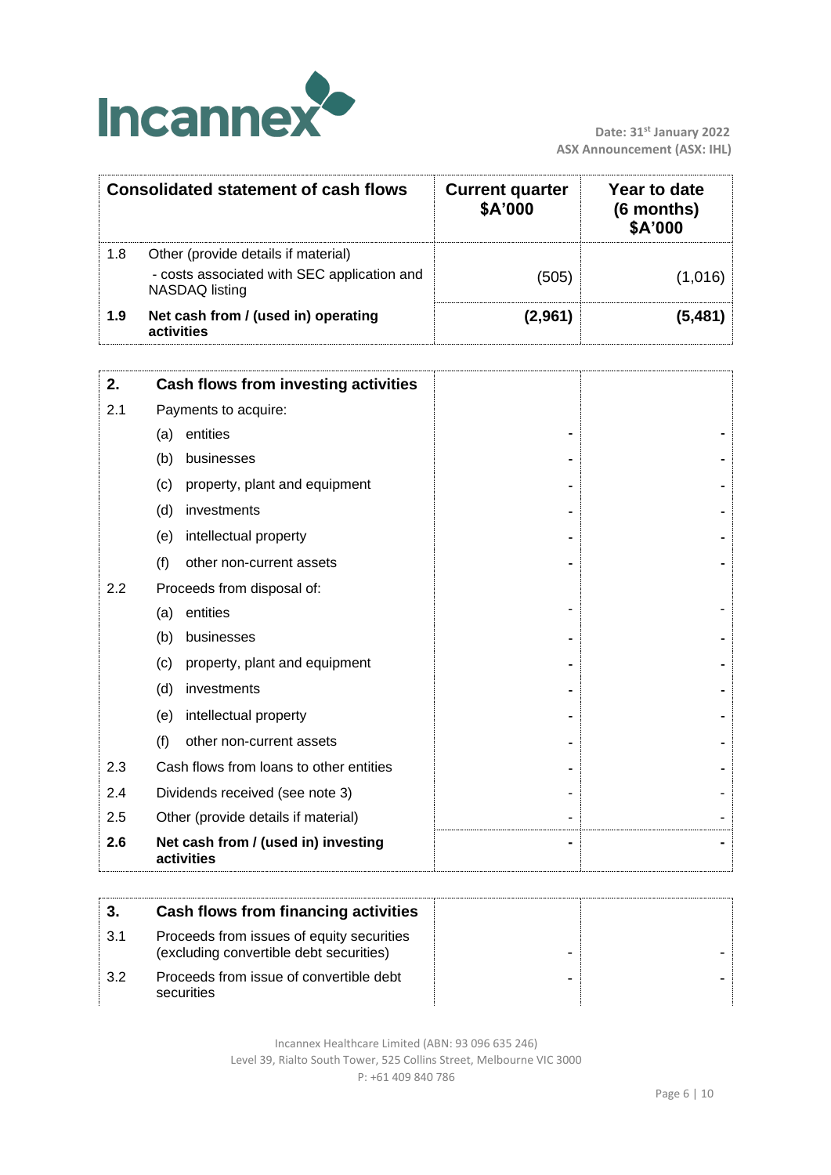

|     | <b>Consolidated statement of cash flows</b>                                                                 | <b>Current quarter</b><br>\$A'000 | Year to date<br>(6 months)<br>\$A'000 |
|-----|-------------------------------------------------------------------------------------------------------------|-----------------------------------|---------------------------------------|
| 1.8 | Other (provide details if material)<br>- costs associated with SEC application and<br><b>NASDAQ</b> listing | (505)                             | (1,016)                               |
| 1.9 | Net cash from / (used in) operating<br>activities                                                           | (2,961)                           | (5,481)                               |
| 2.  | Cash flows from investing activities                                                                        |                                   |                                       |
| 2.1 | Payments to acquire:                                                                                        |                                   |                                       |
|     | entities<br>(a)                                                                                             |                                   |                                       |
|     | (b)<br>businesses                                                                                           |                                   |                                       |
|     | property, plant and equipment<br>(c)                                                                        |                                   |                                       |
|     | (d)<br>investments                                                                                          |                                   |                                       |
|     | intellectual property<br>(e)                                                                                |                                   |                                       |
|     | (f)<br>other non-current assets                                                                             |                                   |                                       |
| 2.2 | Proceeds from disposal of:                                                                                  |                                   |                                       |
|     | entities<br>(a)                                                                                             |                                   |                                       |
|     | businesses<br>(b)                                                                                           |                                   |                                       |
|     | (c)<br>property, plant and equipment                                                                        |                                   |                                       |
|     | (d)<br>investments                                                                                          |                                   |                                       |
|     | (e)<br>intellectual property                                                                                |                                   |                                       |
|     | (f)<br>other non-current assets                                                                             |                                   |                                       |
| 2.3 | Cash flows from loans to other entities                                                                     |                                   |                                       |
| 2.4 | Dividends received (see note 3)                                                                             |                                   |                                       |
| 2.5 | Other (provide details if material)                                                                         |                                   |                                       |
| 2.6 | Net cash from / (used in) investing<br>activities                                                           |                                   |                                       |

|     | Cash flows from financing activities                                                 |  |
|-----|--------------------------------------------------------------------------------------|--|
| 3.1 | Proceeds from issues of equity securities<br>(excluding convertible debt securities) |  |
| 32  | Proceeds from issue of convertible debt<br>securities                                |  |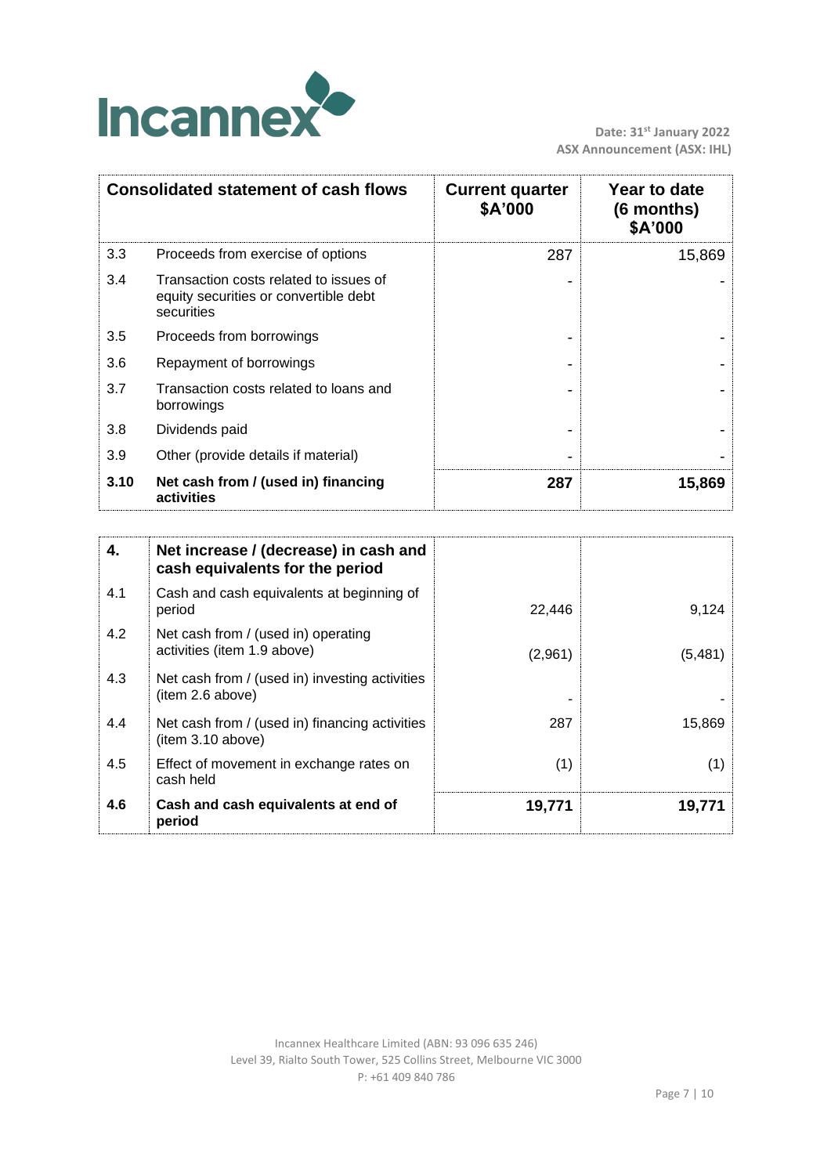

|      | <b>Consolidated statement of cash flows</b>                                                   | <b>Current quarter</b><br>\$A'000 | Year to date<br>$(6$ months)<br>\$A'000 |
|------|-----------------------------------------------------------------------------------------------|-----------------------------------|-----------------------------------------|
| 3.3  | Proceeds from exercise of options                                                             | 287                               | 15,869                                  |
| 3.4  | Transaction costs related to issues of<br>equity securities or convertible debt<br>securities |                                   |                                         |
| 3.5  | Proceeds from borrowings                                                                      |                                   |                                         |
| 3.6  | Repayment of borrowings                                                                       |                                   |                                         |
| 3.7  | Transaction costs related to loans and<br>borrowings                                          |                                   |                                         |
| 3.8  | Dividends paid                                                                                |                                   |                                         |
| 3.9  | Other (provide details if material)                                                           |                                   |                                         |
| 3.10 | Net cash from / (used in) financing<br>activities                                             | 287                               | 15,869                                  |

| 4.  | Net increase / (decrease) in cash and<br>cash equivalents for the period |         |         |
|-----|--------------------------------------------------------------------------|---------|---------|
| 4.1 | Cash and cash equivalents at beginning of<br>period                      | 22,446  | 9,124   |
| 4.2 | Net cash from / (used in) operating<br>activities (item 1.9 above)       | (2,961) | (5,481) |
| 4.3 | Net cash from / (used in) investing activities<br>(item 2.6 above)       |         |         |
| 4.4 | Net cash from / (used in) financing activities<br>(item 3.10 above)      | 287     | 15,869  |
| 4.5 | Effect of movement in exchange rates on<br>cash held                     | (1)     | (1)     |
| 4.6 | Cash and cash equivalents at end of<br>period                            | 19,771  | 19,771  |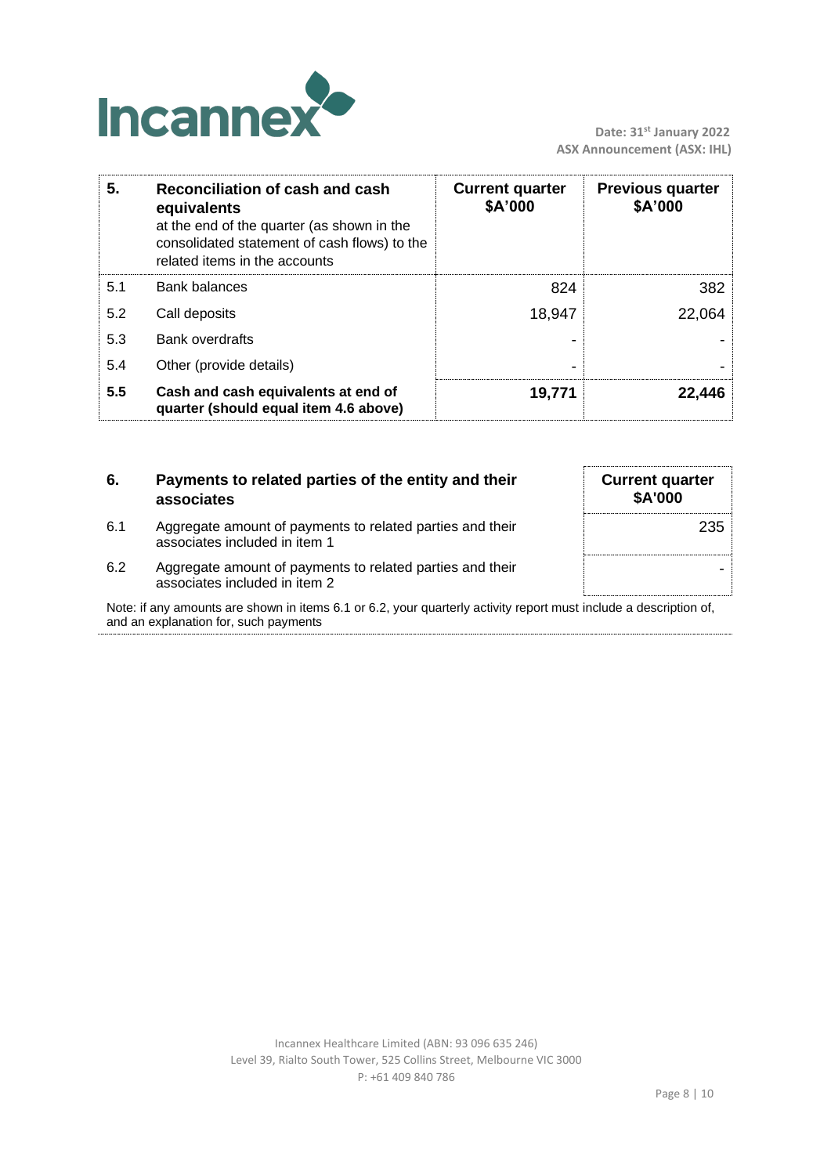

| 5.  | Reconciliation of cash and cash<br>equivalents<br>at the end of the quarter (as shown in the<br>consolidated statement of cash flows) to the<br>related items in the accounts | <b>Current quarter</b><br>\$A'000 | <b>Previous quarter</b><br>\$A'000 |
|-----|-------------------------------------------------------------------------------------------------------------------------------------------------------------------------------|-----------------------------------|------------------------------------|
| 5.1 | <b>Bank balances</b>                                                                                                                                                          | 824                               | 382                                |
| 5.2 | Call deposits                                                                                                                                                                 | 18,947                            | 22,064                             |
| 5.3 | <b>Bank overdrafts</b>                                                                                                                                                        |                                   |                                    |
| 5.4 | Other (provide details)                                                                                                                                                       |                                   |                                    |
| 5.5 | Cash and cash equivalents at end of<br>quarter (should equal item 4.6 above)                                                                                                  | 19,771                            | 22,446                             |

| 6.  | Payments to related parties of the entity and their<br>associates                                                 | <b>Current quarter</b><br>\$A'000 |
|-----|-------------------------------------------------------------------------------------------------------------------|-----------------------------------|
| 6.1 | Aggregate amount of payments to related parties and their<br>associates included in item 1                        | 235                               |
| 6.2 | Aggregate amount of payments to related parties and their<br>associates included in item 2                        |                                   |
|     | Note: if any amounts are shown in items 6.1 or 6.2, your quarterly activity report must include a description of, |                                   |

and an explanation for, such payments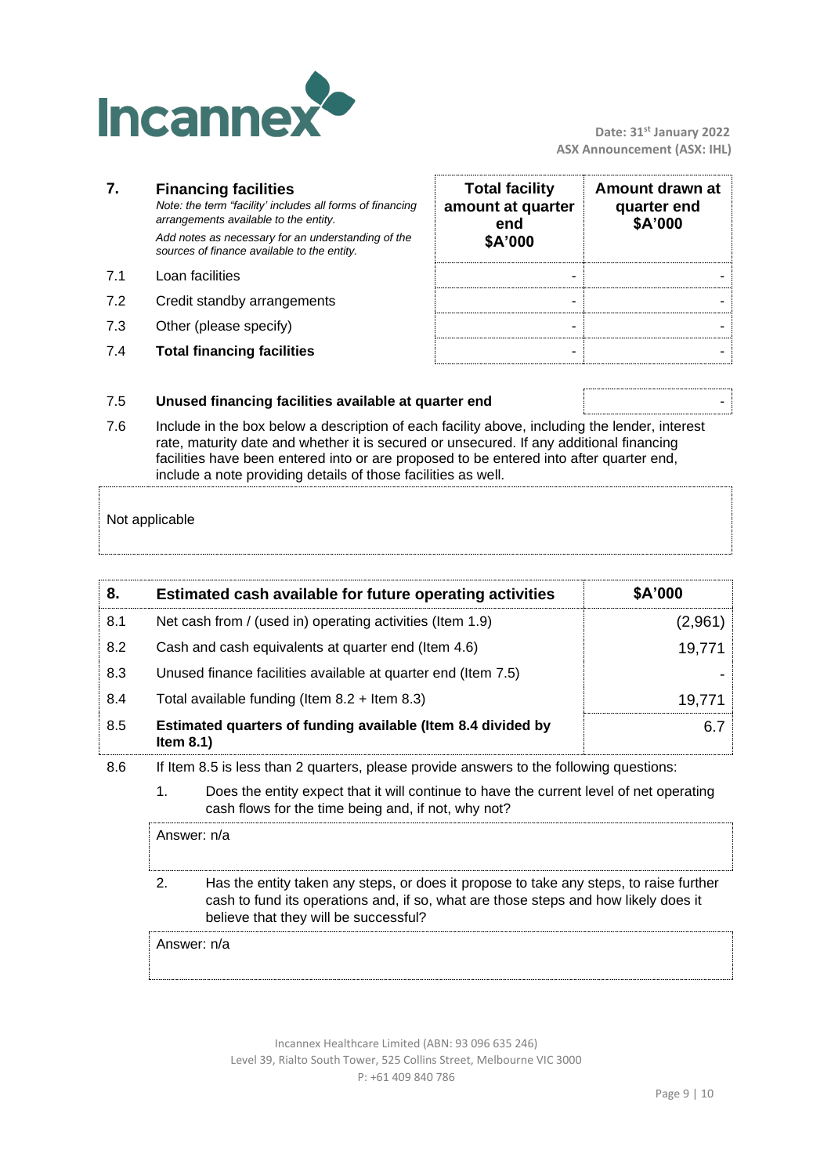

 **Date: 31st January 2022 ASX Announcement (ASX: IHL)**

|     | <b>Financing facilities</b><br>Note: the term "facility' includes all forms of financing<br>arrangements available to the entity.<br>Add notes as necessary for an understanding of the<br>sources of finance available to the entity. | <b>Total facility</b><br>amount at quarter<br>end<br>\$A'000 | Amount drawn at<br>quarter end<br>\$A'000 |
|-----|----------------------------------------------------------------------------------------------------------------------------------------------------------------------------------------------------------------------------------------|--------------------------------------------------------------|-------------------------------------------|
| 71  | Loan facilities                                                                                                                                                                                                                        |                                                              |                                           |
| 7.2 | Credit standby arrangements                                                                                                                                                                                                            |                                                              |                                           |
| 7.3 | Other (please specify)                                                                                                                                                                                                                 |                                                              |                                           |
| 7.4 | <b>Total financing facilities</b>                                                                                                                                                                                                      |                                                              |                                           |

#### 7.5 **Unused financing facilities available at quarter end** -

7.6 Include in the box below a description of each facility above, including the lender, interest rate, maturity date and whether it is secured or unsecured. If any additional financing facilities have been entered into or are proposed to be entered into after quarter end, include a note providing details of those facilities as well.

## Not applicable

| 8.  | Estimated cash available for future operating activities                     | \$A'000 |
|-----|------------------------------------------------------------------------------|---------|
| 8.1 | Net cash from / (used in) operating activities (Item 1.9)                    | (2,961) |
| 8.2 | Cash and cash equivalents at quarter end (Item 4.6)                          | 19,771  |
| 8.3 | Unused finance facilities available at quarter end (Item 7.5)                |         |
| 8.4 | Total available funding (Item $8.2$ + Item $8.3$ )                           | 19.771  |
| 8.5 | Estimated quarters of funding available (Item 8.4 divided by<br>Item $8.1$ ) | 6.7     |

- 8.6 If Item 8.5 is less than 2 quarters, please provide answers to the following questions:
	- 1. Does the entity expect that it will continue to have the current level of net operating cash flows for the time being and, if not, why not?

Answer: n/a 2. Has the entity taken any steps, or does it propose to take any steps, to raise further cash to fund its operations and, if so, what are those steps and how likely does it believe that they will be successful?

Answer: n/a

Incannex Healthcare Limited (ABN: 93 096 635 246) Level 39, Rialto South Tower, 525 Collins Street, Melbourne VIC 3000 P: +61 409 840 786